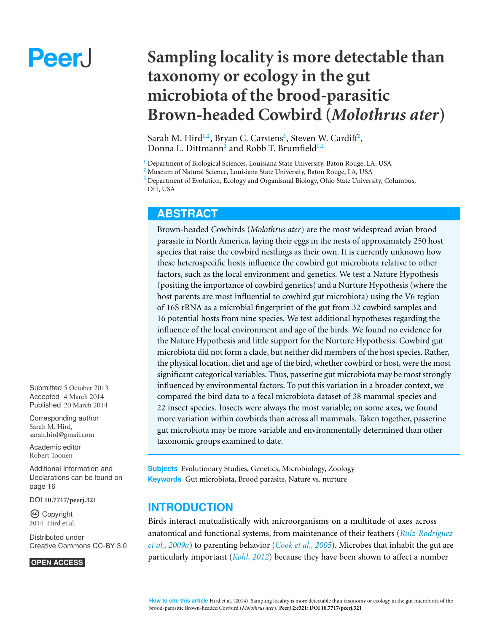# Peer.

# **Sampling locality is more detectable than taxonomy or ecology in the gut microbiota of the brood-parasitic Brown-headed Cowbird (***Molothrus ater***)**

Sarah M. Hird<sup>1,2</sup>, Bryan C. Carstens<sup>3</sup>, Steven W. Cardiff<sup>2</sup>, Donna L. Dittmann**<sup>2</sup>** and Robb T. Brumfield**1,2**

**<sup>1</sup>** Department of Biological Sciences, Louisiana State University, Baton Rouge, LA, USA

**<sup>3</sup>** Department of Evolution, Ecology and Organismal Biology, Ohio State University, Columbus, OH, USA

#### **ABSTRACT**

Brown-headed Cowbirds (*Molothrus ater*) are the most widespread avian brood parasite in North America, laying their eggs in the nests of approximately 250 host species that raise the cowbird nestlings as their own. It is currently unknown how these heterospecific hosts influence the cowbird gut microbiota relative to other factors, such as the local environment and genetics. We test a Nature Hypothesis (positing the importance of cowbird genetics) and a Nurture Hypothesis (where the host parents are most influential to cowbird gut microbiota) using the V6 region of 16S rRNA as a microbial fingerprint of the gut from 32 cowbird samples and 16 potential hosts from nine species. We test additional hypotheses regarding the influence of the local environment and age of the birds. We found no evidence for the Nature Hypothesis and little support for the Nurture Hypothesis. Cowbird gut microbiota did not form a clade, but neither did members of the host species. Rather, the physical location, diet and age of the bird, whether cowbird or host, were the most significant categorical variables. Thus, passerine gut microbiota may be most strongly influenced by environmental factors. To put this variation in a broader context, we compared the bird data to a fecal microbiota dataset of 38 mammal species and 22 insect species. Insects were always the most variable; on some axes, we found more variation within cowbirds than across all mammals. Taken together, passerine gut microbiota may be more variable and environmentally determined than other taxonomic groups examined to date.

**Subjects** Evolutionary Studies, Genetics, Microbiology, Zoology **Keywords** Gut microbiota, Brood parasite, Nature vs. nurture

#### **INTRODUCTION**

Birds interact mutualistically with microorganisms on a multitude of axes across anatomical and functional systems, from maintenance of their feathers (*[Ruiz-Rodriguez](#page-19-0) [et](#page-19-0) [al.,](#page-19-0) [2009a](#page-19-0)*) to parenting behavior (*[Cook](#page-17-0) [et](#page-17-0) [al.,](#page-17-0) [2005](#page-17-0)*). Microbes that inhabit the gut are particularly important (*[Kohl,](#page-18-0) [2012](#page-18-0)*) because they have been shown to affect a number

Submitted 5 October 2013 Accepted 4 March 2014 Published 20 March 2014

Corresponding author [Sarah M. Hird,](mailto:sarah.hird@gmail.com) [sarah.hird@gmail.com](mailto:sarah.hird@gmail.com)

[Academic editor](https://peerj.com/academic-boards/editors/) [Robert Toonen](https://peerj.com/academic-boards/editors/)

[Additional Information and](#page-15-0) [Declarations can be found on](#page-15-0) [page 16](#page-15-0)

[DOI](http://dx.doi.org/10.7717/peerj.321) **[10.7717/peerj.321](http://dx.doi.org/10.7717/peerj.321)**

Copyright 2014 Hird et al.

[Distributed under](http://creativecommons.org/licenses/by/3.0/) [Creative Commons CC-BY 3.0](http://creativecommons.org/licenses/by/3.0/)

#### **OPEN ACCESS**

**<sup>2</sup>** Museum of Natural Science, Louisiana State University, Baton Rouge, LA, USA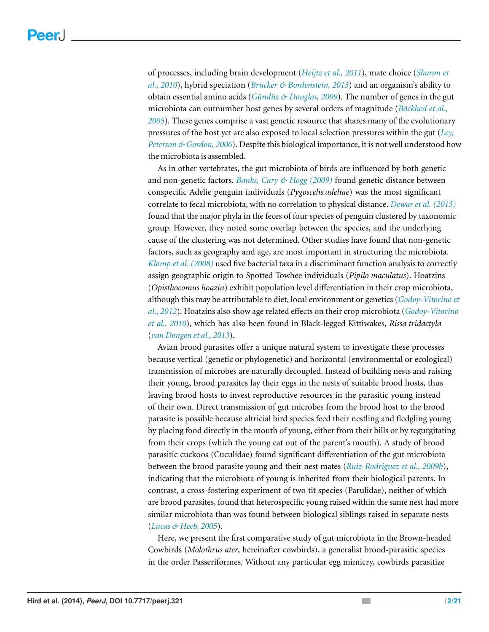of processes, including brain development (*[Heijtz](#page-17-1) [et](#page-17-1) [al.,](#page-17-1) [2011](#page-17-1)*), mate choice (*[Sharon](#page-19-1) [et](#page-19-1) [al.,](#page-19-1) [2010](#page-19-1)*), hybrid speciation (*[Brucker](#page-16-0) [&](#page-16-0) [Bordenstein,](#page-16-0) [2013](#page-16-0)*) and an organism's ability to obtain essential amino acids (*[Gund](#page-17-2) ¨ uz¨ [&](#page-17-2) [Douglas,](#page-17-2) [2009](#page-17-2)*). The number of genes in the gut microbiota can outnumber host genes by several orders of magnitude (*Bäckhed [et](#page-16-1) al.*, *[2005](#page-16-1)*). These genes comprise a vast genetic resource that shares many of the evolutionary pressures of the host yet are also exposed to local selection pressures within the gut (*[Ley,](#page-18-1) [Peterson](#page-18-1) [&](#page-18-1) [Gordon,](#page-18-1) [2006](#page-18-1)*). Despite this biological importance, it is not well understood how the microbiota is assembled.

As in other vertebrates, the gut microbiota of birds are influenced by both genetic and non-genetic factors. *[Banks,](#page-16-2) [Cary](#page-16-2) [&](#page-16-2) [Hogg](#page-16-2) [\(2009\)](#page-16-2)* found genetic distance between conspecific Adelie penguin individuals (*Pygoscelis adeliae*) was the most significant correlate to fecal microbiota, with no correlation to physical distance. *[Dewar](#page-17-3) [et](#page-17-3) [al.](#page-17-3) [\(2013\)](#page-17-3)* found that the major phyla in the feces of four species of penguin clustered by taxonomic group. However, they noted some overlap between the species, and the underlying cause of the clustering was not determined. Other studies have found that non-genetic factors, such as geography and age, are most important in structuring the microbiota. *[Klomp](#page-18-2) [et](#page-18-2) [al.](#page-18-2) [\(2008\)](#page-18-2)* used five bacterial taxa in a discriminant function analysis to correctly assign geographic origin to Spotted Towhee individuals (*Pipilo maculatus*). Hoatzins (*Opisthocomus hoazin*) exhibit population level differentiation in their crop microbiota, although this may be attributable to diet, local environment or genetics (*[Godoy-Vitorino](#page-17-4) [et](#page-17-4) [al.,](#page-17-4) [2012](#page-17-4)*). Hoatzins also show age related effects on their crop microbiota (*[Godoy-Vitorino](#page-17-5) [et](#page-17-5) [al.,](#page-17-5) [2010](#page-17-5)*), which has also been found in Black-legged Kittiwakes, *Rissa tridactyla* (*[van](#page-20-0) [Dongen](#page-20-0) [et](#page-20-0) [al.,](#page-20-0) [2013](#page-20-0)*).

Avian brood parasites offer a unique natural system to investigate these processes because vertical (genetic or phylogenetic) and horizontal (environmental or ecological) transmission of microbes are naturally decoupled. Instead of building nests and raising their young, brood parasites lay their eggs in the nests of suitable brood hosts, thus leaving brood hosts to invest reproductive resources in the parasitic young instead of their own. Direct transmission of gut microbes from the brood host to the brood parasite is possible because altricial bird species feed their nestling and fledgling young by placing food directly in the mouth of young, either from their bills or by regurgitating from their crops (which the young eat out of the parent's mouth). A study of brood parasitic cuckoos (Cuculidae) found significant differentiation of the gut microbiota between the brood parasite young and their nest mates (*[Ruiz-Rodriguez](#page-19-2) [et](#page-19-2) [al.,](#page-19-2) [2009b](#page-19-2)*), indicating that the microbiota of young is inherited from their biological parents. In contrast, a cross-fostering experiment of two tit species (Parulidae), neither of which are brood parasites, found that heterospecific young raised within the same nest had more similar microbiota than was found between biological siblings raised in separate nests (*[Lucas](#page-18-3) [&](#page-18-3) [Heeb,](#page-18-3) [2005](#page-18-3)*).

Here, we present the first comparative study of gut microbiota in the Brown-headed Cowbirds (*Molothrus ater*, hereinafter cowbirds), a generalist brood-parasitic species in the order Passeriformes. Without any particular egg mimicry, cowbirds parasitize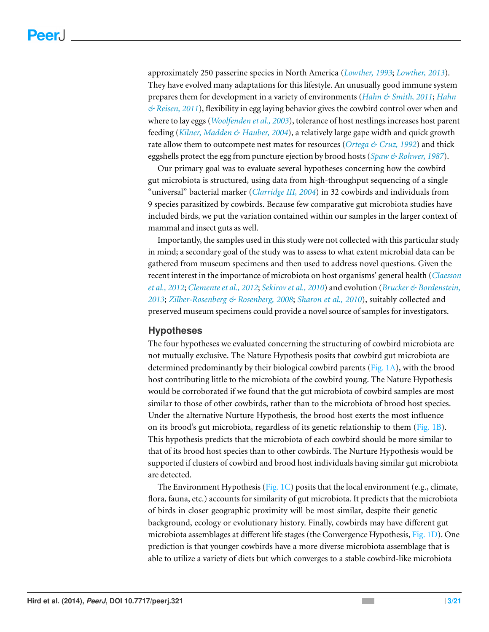approximately 250 passerine species in North America (*[Lowther,](#page-18-4) [1993](#page-18-4)*; *[Lowther,](#page-18-5) [2013](#page-18-5)*). They have evolved many adaptations for this lifestyle. An unusually good immune system prepares them for development in a variety of environments (*[Hahn](#page-17-6) [&](#page-17-6) [Smith,](#page-17-6) [2011](#page-17-6)*; *[Hahn](#page-17-7) [&](#page-17-7) [Reisen,](#page-17-7) [2011](#page-17-7)*), flexibility in egg laying behavior gives the cowbird control over when and where to lay eggs (*[Woolfenden](#page-20-1) [et](#page-20-1) [al.,](#page-20-1) [2003](#page-20-1)*), tolerance of host nestlings increases host parent feeding (*[Kilner,](#page-18-6) [Madden](#page-18-6) [&](#page-18-6) [Hauber,](#page-18-6) [2004](#page-18-6)*), a relatively large gape width and quick growth rate allow them to outcompete nest mates for resources (*[Ortega](#page-19-3) [&](#page-19-3) [Cruz,](#page-19-3) [1992](#page-19-3)*) and thick eggshells protect the egg from puncture ejection by brood hosts (*[Spaw](#page-19-4) [&](#page-19-4) [Rohwer,](#page-19-4) [1987](#page-19-4)*).

Our primary goal was to evaluate several hypotheses concerning how the cowbird gut microbiota is structured, using data from high-throughput sequencing of a single "universal" bacterial marker (*[Clarridge](#page-17-8) [III,](#page-17-8) [2004](#page-17-8)*) in 32 cowbirds and individuals from 9 species parasitized by cowbirds. Because few comparative gut microbiota studies have included birds, we put the variation contained within our samples in the larger context of mammal and insect guts as well.

Importantly, the samples used in this study were not collected with this particular study in mind; a secondary goal of the study was to assess to what extent microbial data can be gathered from museum specimens and then used to address novel questions. Given the recent interest in the importance of microbiota on host organisms' general health (*[Claesson](#page-16-3) [et](#page-16-3) [al.,](#page-16-3) [2012](#page-16-3)*; *[Clementeet](#page-17-9) [al.,](#page-17-9) [2012](#page-17-9)*; *[Sekirov](#page-19-5) [et](#page-19-5) [al.,](#page-19-5) [2010](#page-19-5)*) and evolution (*[Brucker](#page-16-0) [&](#page-16-0) [Bordenstein,](#page-16-0) [2013](#page-16-0)*; *[Zilber-Rosenberg](#page-20-2) [&](#page-20-2) [Rosenberg,](#page-20-2) [2008](#page-20-2)*; *[Sharon](#page-19-1) [et](#page-19-1) [al.,](#page-19-1) [2010](#page-19-1)*), suitably collected and preserved museum specimens could provide a novel source of samples for investigators.

#### **Hypotheses**

The four hypotheses we evaluated concerning the structuring of cowbird microbiota are not mutually exclusive. The Nature Hypothesis posits that cowbird gut microbiota are determined predominantly by their biological cowbird parents [\(Fig. 1A\)](#page-3-0), with the brood host contributing little to the microbiota of the cowbird young. The Nature Hypothesis would be corroborated if we found that the gut microbiota of cowbird samples are most similar to those of other cowbirds, rather than to the microbiota of brood host species. Under the alternative Nurture Hypothesis, the brood host exerts the most influence on its brood's gut microbiota, regardless of its genetic relationship to them [\(Fig. 1B\)](#page-3-0). This hypothesis predicts that the microbiota of each cowbird should be more similar to that of its brood host species than to other cowbirds. The Nurture Hypothesis would be supported if clusters of cowbird and brood host individuals having similar gut microbiota are detected.

The Environment Hypothesis [\(Fig. 1C\)](#page-3-0) posits that the local environment (e.g., climate, flora, fauna, etc.) accounts for similarity of gut microbiota. It predicts that the microbiota of birds in closer geographic proximity will be most similar, despite their genetic background, ecology or evolutionary history. Finally, cowbirds may have different gut microbiota assemblages at different life stages (the Convergence Hypothesis, [Fig. 1D\)](#page-3-0). One prediction is that younger cowbirds have a more diverse microbiota assemblage that is able to utilize a variety of diets but which converges to a stable cowbird-like microbiota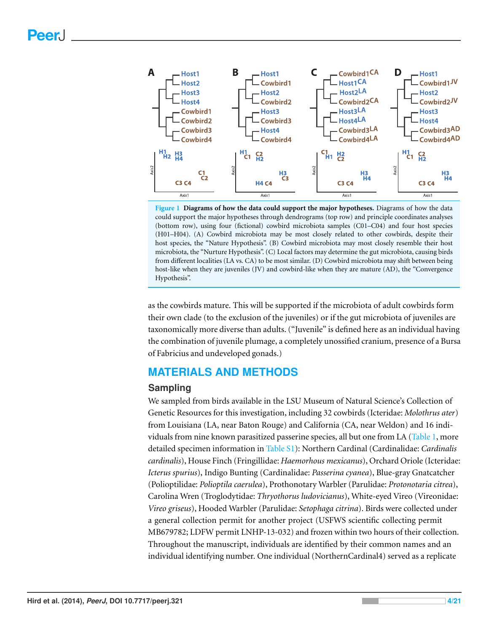<span id="page-3-0"></span>

**Figure 1 Diagrams of how the data could support the major hypotheses.** Diagrams of how the data could support the major hypotheses through dendrograms (top row) and principle coordinates analyses (bottom row), using four (fictional) cowbird microbiota samples (C01–C04) and four host species (H01–H04). (A) Cowbird microbiota may be most closely related to other cowbirds, despite their host species, the "Nature Hypothesis". (B) Cowbird microbiota may most closely resemble their host microbiota, the "Nurture Hypothesis". (C) Local factors may determine the gut microbiota, causing birds from different localities (LA vs. CA) to be most similar. (D) Cowbird microbiota may shift between being host-like when they are juveniles (JV) and cowbird-like when they are mature (AD), the "Convergence Hypothesis".

as the cowbirds mature. This will be supported if the microbiota of adult cowbirds form their own clade (to the exclusion of the juveniles) or if the gut microbiota of juveniles are taxonomically more diverse than adults. ("Juvenile" is defined here as an individual having the combination of juvenile plumage, a completely unossified cranium, presence of a Bursa of Fabricius and undeveloped gonads.)

# **MATERIALS AND METHODS**

#### **Sampling**

We sampled from birds available in the LSU Museum of Natural Science's Collection of Genetic Resources for this investigation, including 32 cowbirds (Icteridae: *Molothrus ater*) from Louisiana (LA, near Baton Rouge) and California (CA, near Weldon) and 16 individuals from nine known parasitized passerine species, all but one from LA [\(Table 1,](#page-4-0) more detailed specimen information in [Table](http://dx.doi.org/10.7717/peerj.321/supp-1) [S1\)](http://dx.doi.org/10.7717/peerj.321/supp-1): Northern Cardinal (Cardinalidae: *Cardinalis cardinalis*), House Finch (Fringillidae: *Haemorhous mexicanus*), Orchard Oriole (Icteridae: *Icterus spurius*), Indigo Bunting (Cardinalidae: *Passerina cyanea*), Blue-gray Gnatcatcher (Polioptilidae: *Polioptila caerulea*), Prothonotary Warbler (Parulidae: *Protonotaria citrea*), Carolina Wren (Troglodytidae: *Thryothorus ludovicianus*), White-eyed Vireo (Vireonidae: *Vireo griseus*), Hooded Warbler (Parulidae: *Setophaga citrina*). Birds were collected under a general collection permit for another project (USFWS scientific collecting permit MB679782; LDFW permit LNHP-13-032) and frozen within two hours of their collection. Throughout the manuscript, individuals are identified by their common names and an individual identifying number. One individual (NorthernCardinal4) served as a replicate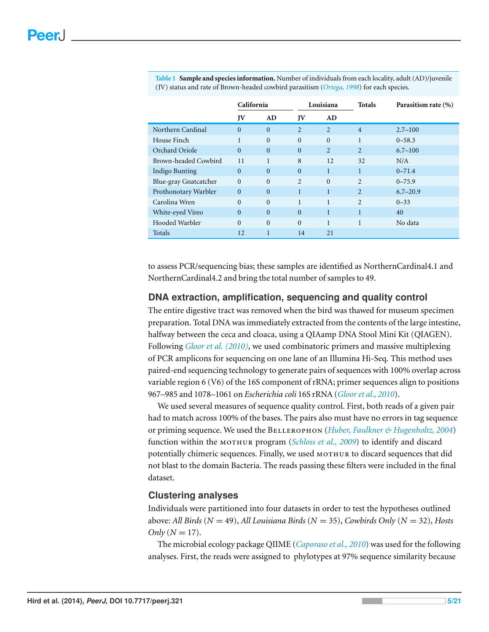|                       | California |                | Louisiana        |              | <b>Totals</b>  | Parasitism rate (%) |
|-----------------------|------------|----------------|------------------|--------------|----------------|---------------------|
|                       | JV         | AD             | JV               | AD           |                |                     |
| Northern Cardinal     | $\Omega$   | $\overline{0}$ | 2                | 2            | $\overline{4}$ | $2.7 - 100$         |
| House Finch           |            | $\overline{0}$ | $\boldsymbol{0}$ | $\mathbf{0}$ | $\mathbf{1}$   | $0 - 58.3$          |
| Orchard Oriole        | $\Omega$   | $\Omega$       | $\mathbf{0}$     | 2            | $\overline{2}$ | $6.7 - 100$         |
| Brown-headed Cowbird  | 11         | 1              | 8                | 12           | 32             | N/A                 |
| Indigo Bunting        | $\Omega$   | $\overline{0}$ | $\mathbf{0}$     | $\mathbf{1}$ | $\mathbf{1}$   | $0 - 71.4$          |
| Blue-gray Gnatcatcher | $\Omega$   | $\overline{0}$ | 2                | $\mathbf{0}$ | $\overline{2}$ | $0 - 75.9$          |
| Prothonotary Warbler  | $\Omega$   | $\Omega$       | $\mathbf{1}$     | $\mathbf{1}$ | $\overline{2}$ | $6.7 - 20.9$        |
| Carolina Wren         | $\Omega$   | $\Omega$       | $\mathbf{1}$     | 1            | $\overline{2}$ | $0 - 33$            |
| White-eyed Vireo      | $\Omega$   | $\Omega$       | $\Omega$         | $\mathbf{1}$ | $\mathbf{1}$   | 40                  |
| Hooded Warbler        | $\Omega$   | $\Omega$       | $\theta$         | 1            | 1              | No data             |
| Totals                | 12         | $\mathbf{1}$   | 14               | 21           |                |                     |

<span id="page-4-0"></span>**Table 1 Sample and species information.** Number of individuals from each locality, adult (AD)/juvenile (JV) status and rate of Brown-headed cowbird parasitism (*[Ortega,](#page-19-6) [1998](#page-19-6)*) for each species.

to assess PCR/sequencing bias; these samples are identified as NorthernCardinal4.1 and NorthernCardinal4.2 and bring the total number of samples to 49.

#### **DNA extraction, amplification, sequencing and quality control**

The entire digestive tract was removed when the bird was thawed for museum specimen preparation. Total DNA was immediately extracted from the contents of the large intestine, halfway between the ceca and cloaca, using a QIAamp DNA Stool Mini Kit (QIAGEN). Following *[Gloor](#page-17-10) [et](#page-17-10) [al.](#page-17-10) [\(2010\)](#page-17-10)*, we used combinatoric primers and massive multiplexing of PCR amplicons for sequencing on one lane of an Illumina Hi-Seq. This method uses paired-end sequencing technology to generate pairs of sequences with 100% overlap across variable region 6 (V6) of the 16S component of rRNA; primer sequences align to positions 967–985 and 1078–1061 on *Escherichia coli* 16S rRNA (*[Glooret](#page-17-10) [al.,](#page-17-10) [2010](#page-17-10)*).

We used several measures of sequence quality control. First, both reads of a given pair had to match across 100% of the bases. The pairs also must have no errors in tag sequence or priming sequence. We used the B (*[Huber,](#page-18-7) [Faulkner](#page-18-7) [&](#page-18-7) [Hugenholtz,](#page-18-7) [2004](#page-18-7)*) function within the MOTHUR program (*[Schloss](#page-19-7) [et](#page-19-7) [al.,](#page-19-7) [2009](#page-19-7)*) to identify and discard potentially chimeric sequences. Finally, we used MOTHUR to discard sequences that did not blast to the domain Bacteria. The reads passing these filters were included in the final dataset.

#### **Clustering analyses**

Individuals were partitioned into four datasets in order to test the hypotheses outlined above: *All Birds* (*N* = 49), *All Louisiana Birds* (*N* = 35), *Cowbirds Only* (*N* = 32), *Hosts*  $Only (N = 17).$ 

The microbial ecology package QIIME (*[Caporaso](#page-16-4) [et](#page-16-4) [al.,](#page-16-4) [2010](#page-16-4)*) was used for the following analyses. First, the reads were assigned to phylotypes at 97% sequence similarity because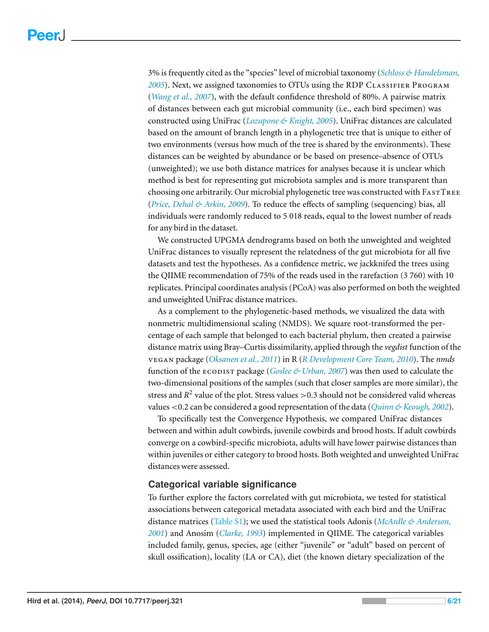3% is frequently cited as the "species" level of microbial taxonomy (*[Schloss](#page-19-8) [&](#page-19-8) [Handelsman,](#page-19-8)* [2005](#page-19-8)). Next, we assigned taxonomies to OTUs using the RDP CLASSIFIER PROGRAM (*[Wang](#page-20-3) [et](#page-20-3) [al.,](#page-20-3) [2007](#page-20-3)*), with the default confidence threshold of 80%. A pairwise matrix of distances between each gut microbial community (i.e., each bird specimen) was constructed using UniFrac (*[Lozupone](#page-18-8) [&](#page-18-8) [Knight,](#page-18-8) [2005](#page-18-8)*). UniFrac distances are calculated based on the amount of branch length in a phylogenetic tree that is unique to either of two environments (versus how much of the tree is shared by the environments). These distances can be weighted by abundance or be based on presence–absence of OTUs (unweighted); we use both distance matrices for analyses because it is unclear which method is best for representing gut microbiota samples and is more transparent than choosing one arbitrarily. Our microbial phylogenetic tree was constructed with FASTTREE (*[Price,](#page-19-9) [Dehal](#page-19-9) [&](#page-19-9) [Arkin,](#page-19-9) [2009](#page-19-9)*). To reduce the effects of sampling (sequencing) bias, all individuals were randomly reduced to 5 018 reads, equal to the lowest number of reads for any bird in the dataset.

We constructed UPGMA dendrograms based on both the unweighted and weighted UniFrac distances to visually represent the relatedness of the gut microbiota for all five datasets and test the hypotheses. As a confidence metric, we jackknifed the trees using the QIIME recommendation of 75% of the reads used in the rarefaction (3 760) with 10 replicates. Principal coordinates analysis (PCoA) was also performed on both the weighted and unweighted UniFrac distance matrices.

As a complement to the phylogenetic-based methods, we visualized the data with nonmetric multidimensional scaling (NMDS). We square root-transformed the percentage of each sample that belonged to each bacterial phylum, then created a pairwise distance matrix using Bray–Curtis dissimilarity, applied through the *vegdist* function of the package (*[Oksanen](#page-19-10) [et](#page-19-10) [al.,](#page-19-10) [2011](#page-19-10)*) in R (*[R](#page-19-11) [Development](#page-19-11) [Core](#page-19-11) [Team,](#page-19-11) [2010](#page-19-11)*). The *nmds* function of the package (*[Goslee](#page-17-11) [&](#page-17-11) [Urban,](#page-17-11) [2007](#page-17-11)*) was then used to calculate the two-dimensional positions of the samples (such that closer samples are more similar), the stress and  $R^2$  value of the plot. Stress values  $>$  0.3 should not be considered valid whereas values <0.2 can be considered a good representation of the data (*[Quinn](#page-19-12) [&](#page-19-12) [Keough,](#page-19-12) [2002](#page-19-12)*).

To specifically test the Convergence Hypothesis, we compared UniFrac distances between and within adult cowbirds, juvenile cowbirds and brood hosts. If adult cowbirds converge on a cowbird-specific microbiota, adults will have lower pairwise distances than within juveniles or either category to brood hosts. Both weighted and unweighted UniFrac distances were assessed.

#### **Categorical variable significance**

To further explore the factors correlated with gut microbiota, we tested for statistical associations between categorical metadata associated with each bird and the UniFrac distance matrices [\(Table](http://dx.doi.org/10.7717/peerj.321/supp-1) [S1\)](http://dx.doi.org/10.7717/peerj.321/supp-1); we used the statistical tools Adonis (*[McArdle](#page-18-9) [&](#page-18-9) [Anderson,](#page-18-9) [2001](#page-18-9)*) and Anosim (*[Clarke,](#page-16-5) [1993](#page-16-5)*) implemented in QIIME. The categorical variables included family, genus, species, age (either "juvenile" or "adult" based on percent of skull ossification), locality (LA or CA), diet (the known dietary specialization of the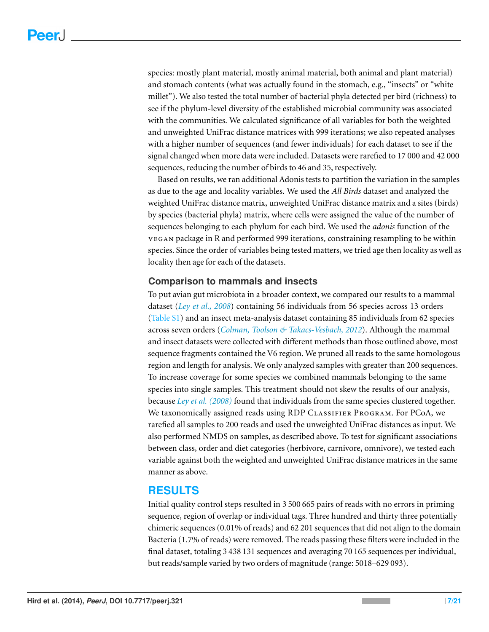species: mostly plant material, mostly animal material, both animal and plant material) and stomach contents (what was actually found in the stomach, e.g., "insects" or "white millet"). We also tested the total number of bacterial phyla detected per bird (richness) to see if the phylum-level diversity of the established microbial community was associated with the communities. We calculated significance of all variables for both the weighted and unweighted UniFrac distance matrices with 999 iterations; we also repeated analyses with a higher number of sequences (and fewer individuals) for each dataset to see if the signal changed when more data were included. Datasets were rarefied to 17 000 and 42 000 sequences, reducing the number of birds to 46 and 35, respectively.

Based on results, we ran additional Adonis tests to partition the variation in the samples as due to the age and locality variables. We used the *All Birds* dataset and analyzed the weighted UniFrac distance matrix, unweighted UniFrac distance matrix and a sites (birds) by species (bacterial phyla) matrix, where cells were assigned the value of the number of sequences belonging to each phylum for each bird. We used the *adonis* function of the package in R and performed 999 iterations, constraining resampling to be within species. Since the order of variables being tested matters, we tried age then locality as well as locality then age for each of the datasets.

#### **Comparison to mammals and insects**

To put avian gut microbiota in a broader context, we compared our results to a mammal dataset (*[Ley](#page-18-10) [et](#page-18-10) [al.,](#page-18-10) [2008](#page-18-10)*) containing 56 individuals from 56 species across 13 orders [\(Table](http://dx.doi.org/10.7717/peerj.321/supp-1) [S1\)](http://dx.doi.org/10.7717/peerj.321/supp-1) and an insect meta-analysis dataset containing 85 individuals from 62 species across seven orders (*[Colman,](#page-17-12) [Toolson](#page-17-12) [&](#page-17-12) [Takacs-Vesbach,](#page-17-12) [2012](#page-17-12)*). Although the mammal and insect datasets were collected with different methods than those outlined above, most sequence fragments contained the V6 region. We pruned all reads to the same homologous region and length for analysis. We only analyzed samples with greater than 200 sequences. To increase coverage for some species we combined mammals belonging to the same species into single samples. This treatment should not skew the results of our analysis, because *[Ley](#page-18-10) [et](#page-18-10) [al.](#page-18-10) [\(2008\)](#page-18-10)* found that individuals from the same species clustered together. We taxonomically assigned reads using RDP CLASSIFIER PROGRAM. For PCoA, we rarefied all samples to 200 reads and used the unweighted UniFrac distances as input. We also performed NMDS on samples, as described above. To test for significant associations between class, order and diet categories (herbivore, carnivore, omnivore), we tested each variable against both the weighted and unweighted UniFrac distance matrices in the same manner as above.

#### **RESULTS**

Initial quality control steps resulted in 3 500 665 pairs of reads with no errors in priming sequence, region of overlap or individual tags. Three hundred and thirty three potentially chimeric sequences (0.01% of reads) and 62 201 sequences that did not align to the domain Bacteria (1.7% of reads) were removed. The reads passing these filters were included in the final dataset, totaling 3 438 131 sequences and averaging 70 165 sequences per individual, but reads/sample varied by two orders of magnitude (range: 5018–629 093).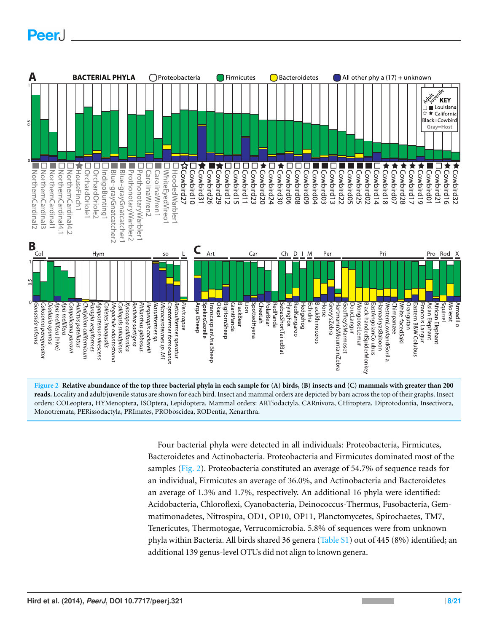# Peer.

<span id="page-7-0"></span>



Four bacterial phyla were detected in all individuals: Proteobacteria, Firmicutes, Bacteroidetes and Actinobacteria. Proteobacteria and Firmicutes dominated most of the samples [\(Fig. 2\)](#page-7-0). Proteobacteria constituted an average of 54.7% of sequence reads for an individual, Firmicutes an average of 36.0%, and Actinobacteria and Bacteroidetes an average of 1.3% and 1.7%, respectively. An additional 16 phyla were identified: Acidobacteria, Chloroflexi, Cyanobacteria, Deinococcus-Thermus, Fusobacteria, Gemmatimonadetes, Nitrospira, OD1, OP10, OP11, Planctomycetes, Spirochaetes, TM7, Tenericutes, Thermotogae, Verrucomicrobia. 5.8% of sequences were from unknown phyla within Bacteria. All birds shared 36 genera [\(Table](http://dx.doi.org/10.7717/peerj.321/supp-1) [S1\)](http://dx.doi.org/10.7717/peerj.321/supp-1) out of 445 (8%) identified; an additional 139 genus-level OTUs did not align to known genera.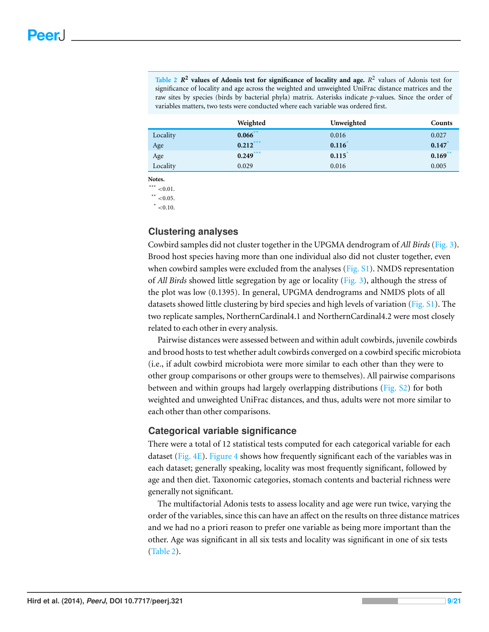<span id="page-8-3"></span>**Table 2** *R* **2 values of Adonis test for significance of locality and age.** *R* 2 values of Adonis test for significance of locality and age across the weighted and unweighted UniFrac distance matrices and the raw sites by species (birds by bacterial phyla) matrix. Asterisks indicate *p*-values. Since the order of variables matters, two tests were conducted where each variable was ordered first.

|          | Weighted   | Unweighted | Counts     |
|----------|------------|------------|------------|
| Locality | $0.066$ ** | 0.016      | 0.027      |
| Age      | 0.212      | 0.116      | 0.147      |
| Age      | $0.249***$ | 0.115      | $0.169$ ** |
| Locality | 0.029      | 0.016      | 0.005      |

**Notes.**

<span id="page-8-1"></span>\*\*\*  $< 0.01$ .

<span id="page-8-0"></span>\*\*  $< 0.05$ .

<span id="page-8-2"></span> $* < 0.10$ .

#### **Clustering analyses**

Cowbird samples did not cluster together in the UPGMA dendrogram of *All Birds* [\(Fig. 3\)](#page-9-0). Brood host species having more than one individual also did not cluster together, even when cowbird samples were excluded from the analyses [\(Fig.](http://dx.doi.org/10.7717/peerj.321/supp-2) [S1\)](http://dx.doi.org/10.7717/peerj.321/supp-2). NMDS representation of *All Birds* showed little segregation by age or locality [\(Fig. 3\)](#page-9-0), although the stress of the plot was low (0.1395). In general, UPGMA dendrograms and NMDS plots of all datasets showed little clustering by bird species and high levels of variation [\(Fig.](http://dx.doi.org/10.7717/peerj.321/supp-2) [S1\)](http://dx.doi.org/10.7717/peerj.321/supp-2). The two replicate samples, NorthernCardinal4.1 and NorthernCardinal4.2 were most closely related to each other in every analysis.

Pairwise distances were assessed between and within adult cowbirds, juvenile cowbirds and brood hosts to test whether adult cowbirds converged on a cowbird specific microbiota (i.e., if adult cowbird microbiota were more similar to each other than they were to other group comparisons or other groups were to themselves). All pairwise comparisons between and within groups had largely overlapping distributions [\(Fig.](http://dx.doi.org/10.7717/peerj.321/supp-2) [S2\)](http://dx.doi.org/10.7717/peerj.321/supp-2) for both weighted and unweighted UniFrac distances, and thus, adults were not more similar to each other than other comparisons.

#### **Categorical variable significance**

There were a total of 12 statistical tests computed for each categorical variable for each dataset [\(Fig. 4E\)](#page-10-0). [Figure 4](#page-10-0) shows how frequently significant each of the variables was in each dataset; generally speaking, locality was most frequently significant, followed by age and then diet. Taxonomic categories, stomach contents and bacterial richness were generally not significant.

The multifactorial Adonis tests to assess locality and age were run twice, varying the order of the variables, since this can have an affect on the results on three distance matrices and we had no a priori reason to prefer one variable as being more important than the other. Age was significant in all six tests and locality was significant in one of six tests [\(Table 2\)](#page-8-3).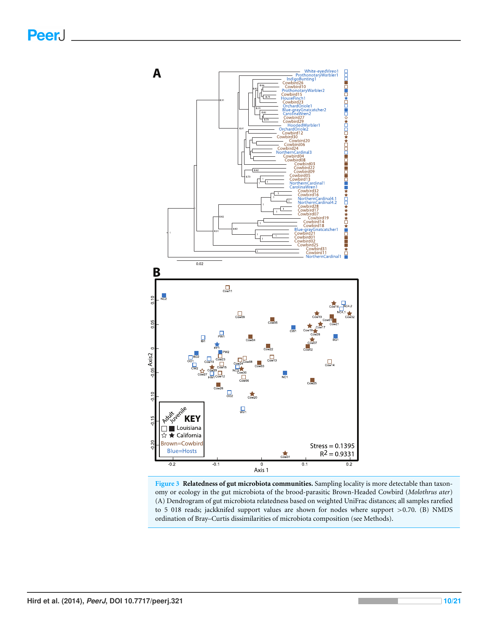<span id="page-9-0"></span>

**Figure 3 Relatedness of gut microbiota communities.** Sampling locality is more detectable than taxonomy or ecology in the gut microbiota of the brood-parasitic Brown-Headed Cowbird (*Molothrus ater*) (A) Dendrogram of gut microbiota relatedness based on weighted UniFrac distances; all samples rarefied to 5 018 reads; jackknifed support values are shown for nodes where support >0.70. (B) NMDS ordination of Bray–Curtis dissimilarities of microbiota composition (see Methods).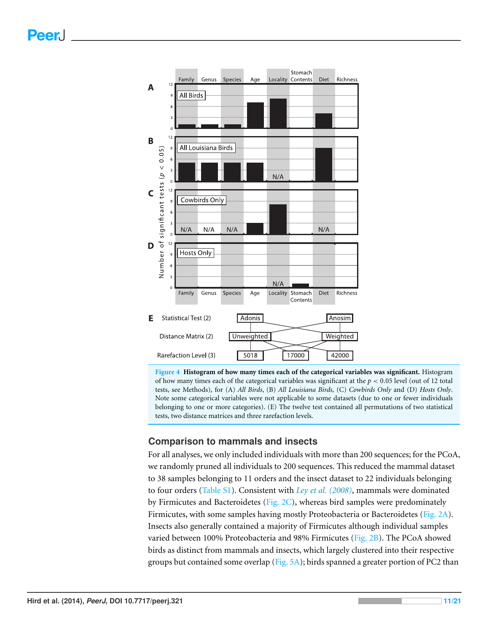<span id="page-10-0"></span>

**Figure 4 Histogram of how many times each of the categorical variables was significant.** Histogram of how many times each of the categorical variables was significant at the  $p < 0.05$  level (out of 12 total tests, see Methods), for (A) *All Birds*, (B) *All Louisiana Birds,* (C) *Cowbirds Only* and (D) *Hosts Only*. Note some categorical variables were not applicable to some datasets (due to one or fewer individuals belonging to one or more categories). (E) The twelve test contained all permutations of two statistical tests, two distance matrices and three rarefaction levels.

#### **Comparison to mammals and insects**

For all analyses, we only included individuals with more than 200 sequences; for the PCoA, we randomly pruned all individuals to 200 sequences. This reduced the mammal dataset to 38 samples belonging to 11 orders and the insect dataset to 22 individuals belonging to four orders [\(Table](http://dx.doi.org/10.7717/peerj.321/supp-1) [S1\)](http://dx.doi.org/10.7717/peerj.321/supp-1). Consistent with *[Ley](#page-18-10) [et](#page-18-10) [al.](#page-18-10) [\(2008\)](#page-18-10)*, mammals were dominated by Firmicutes and Bacteroidetes ( $Fig. 2C$ ), whereas bird samples were predominately Firmicutes, with some samples having mostly Proteobacteria or Bacteroidetes [\(Fig. 2A\)](#page-7-0). Insects also generally contained a majority of Firmicutes although individual samples varied between 100% Proteobacteria and 98% Firmicutes [\(Fig. 2B\)](#page-7-0). The PCoA showed birds as distinct from mammals and insects, which largely clustered into their respective groups but contained some overlap [\(Fig. 5A\)](#page-11-0); birds spanned a greater portion of PC2 than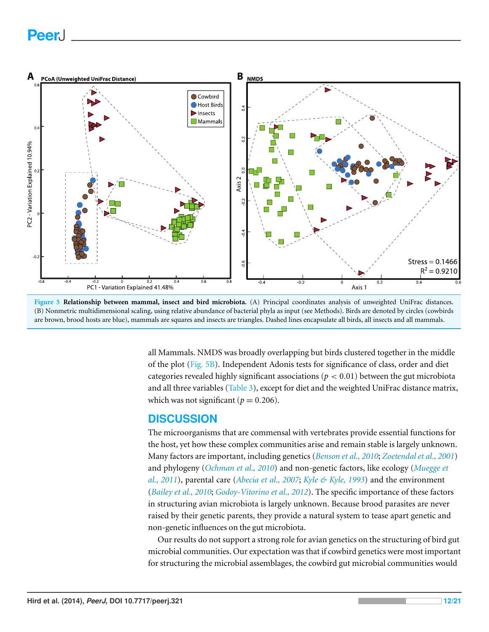# **PeerJ**

<span id="page-11-0"></span>

**Figure 5 Relationship between mammal, insect and bird microbiota.** (A) Principal coordinates analysis of unweighted UniFrac distances. (B) Nonmetric multidimensional scaling, using relative abundance of bacterial phyla as input (see Methods). Birds are denoted by circles (cowbirds are brown, brood hosts are blue), mammals are squares and insects are triangles. Dashed lines encapsulate all birds, all insects and all mammals.

> all Mammals. NMDS was broadly overlapping but birds clustered together in the middle of the plot [\(Fig. 5B\)](#page-11-0). Independent Adonis tests for significance of class, order and diet categories revealed highly significant associations ( $p < 0.01$ ) between the gut microbiota and all three variables [\(Table 3\)](#page-12-0), except for diet and the weighted UniFrac distance matrix, which was not significant ( $p = 0.206$ ).

#### **DISCUSSION**

The microorganisms that are commensal with vertebrates provide essential functions for the host, yet how these complex communities arise and remain stable is largely unknown. Many factors are important, including genetics (*[Benson](#page-16-6) [et](#page-16-6) [al.,](#page-16-6) [2010](#page-16-6)*; *[Zoetendal](#page-20-4) [et](#page-20-4) [al.,](#page-20-4) [2001](#page-20-4)*) and phylogeny (*[Ochman](#page-19-13) [et](#page-19-13) [al.,](#page-19-13) [2010](#page-19-13)*) and non-genetic factors, like ecology (*[Muegge](#page-18-11) [et](#page-18-11) [al.,](#page-18-11) [2011](#page-18-11)*), parental care (*[Abecia](#page-16-7) [et](#page-16-7) [al.,](#page-16-7) [2007](#page-16-7)*; *[Kyle](#page-18-12) [&](#page-18-12) [Kyle,](#page-18-12) [1993](#page-18-12)*) and the environment (*[Bailey](#page-16-8) [et](#page-16-8) [al.,](#page-16-8) [2010](#page-16-8)*; *[Godoy-Vitorino](#page-17-4) [et](#page-17-4) [al.,](#page-17-4) [2012](#page-17-4)*). The specific importance of these factors in structuring avian microbiota is largely unknown. Because brood parasites are never raised by their genetic parents, they provide a natural system to tease apart genetic and non-genetic influences on the gut microbiota.

Our results do not support a strong role for avian genetics on the structuring of bird gut microbial communities. Our expectation was that if cowbird genetics were most important for structuring the microbial assemblages, the cowbird gut microbial communities would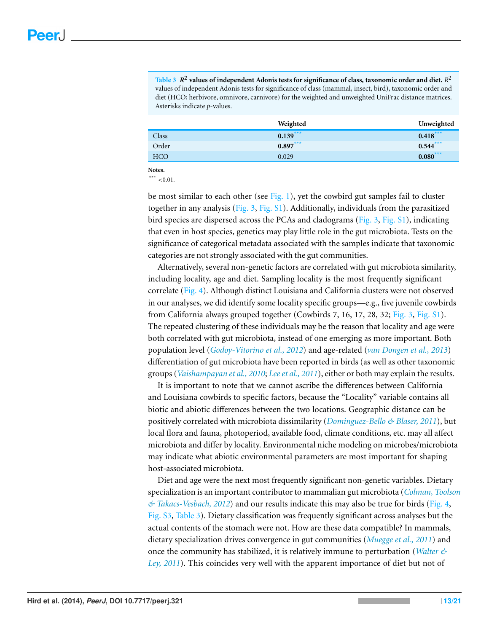<span id="page-12-0"></span> $\overline{\text{Table 3}}$   $\mathbb{R}^2$  values of independent Adonis tests for significance of class, taxonomic order and diet.  $R^2$ values of independent Adonis tests for significance of class (mammal, insect, bird), taxonomic order and diet (HCO; herbivore, omnivore, carnivore) for the weighted and unweighted UniFrac distance matrices. Asterisks indicate *p*-values.

|            | Weighted   | Unweighted  |
|------------|------------|-------------|
| Class      | $0.139***$ | $0.418$ *** |
| Order      | $0.897***$ | $0.544$ *** |
| <b>HCO</b> | 0.029      | $0.080***$  |
|            |            |             |

**Notes.**

<span id="page-12-1"></span>\*\*\*  ${<}0.01$ .

be most similar to each other (see  $Fig. 1$ ), yet the cowbird gut samples fail to cluster together in any analysis [\(Fig. 3,](#page-9-0) [Fig.](http://dx.doi.org/10.7717/peerj.321/supp-2)  $S1$ ). Additionally, individuals from the parasitized bird species are dispersed across the PCAs and cladograms ([Fig.](http://dx.doi.org/10.7717/peerj.321/supp-2)  $3$ , Fig. [S1\)](http://dx.doi.org/10.7717/peerj.321/supp-2), indicating that even in host species, genetics may play little role in the gut microbiota. Tests on the significance of categorical metadata associated with the samples indicate that taxonomic categories are not strongly associated with the gut communities.

Alternatively, several non-genetic factors are correlated with gut microbiota similarity, including locality, age and diet. Sampling locality is the most frequently significant correlate [\(Fig. 4\)](#page-10-0). Although distinct Louisiana and California clusters were not observed in our analyses, we did identify some locality specific groups—e.g., five juvenile cowbirds from California always grouped together (Cowbirds 7, 16, 17, 28, 32; [Fig. 3,](#page-9-0) [Fig.](http://dx.doi.org/10.7717/peerj.321/supp-2) [S1\)](http://dx.doi.org/10.7717/peerj.321/supp-2). The repeated clustering of these individuals may be the reason that locality and age were both correlated with gut microbiota, instead of one emerging as more important. Both population level (*[Godoy-Vitorino](#page-17-4) [et](#page-17-4) [al.,](#page-17-4) [2012](#page-17-4)*) and age-related (*[van](#page-20-0) [Dongen](#page-20-0) [et](#page-20-0) [al.,](#page-20-0) [2013](#page-20-0)*) differentiation of gut microbiota have been reported in birds (as well as other taxonomic groups (*[Vaishampayan](#page-20-5) [et](#page-20-5) [al.,](#page-20-5) [2010](#page-20-5)*; *[Leeet](#page-18-13) [al.,](#page-18-13) [2011](#page-18-13)*), either or both may explain the results.

It is important to note that we cannot ascribe the differences between California and Louisiana cowbirds to specific factors, because the "Locality" variable contains all biotic and abiotic differences between the two locations. Geographic distance can be positively correlated with microbiota dissimilarity (*[Dominguez-Bello](#page-17-13) [&](#page-17-13) [Blaser,](#page-17-13) [2011](#page-17-13)*), but local flora and fauna, photoperiod, available food, climate conditions, etc. may all affect microbiota and differ by locality. Environmental niche modeling on microbes/microbiota may indicate what abiotic environmental parameters are most important for shaping host-associated microbiota.

Diet and age were the next most frequently significant non-genetic variables. Dietary specialization is an important contributor to mammalian gut microbiota (*[Colman,](#page-17-12) [Toolson](#page-17-12) [&](#page-17-12) [Takacs-Vesbach,](#page-17-12) [2012](#page-17-12)*) and our results indicate this may also be true for birds [\(Fig. 4,](#page-10-0) [Fig.](http://dx.doi.org/10.7717/peerj.321/supp-2) [S3,](http://dx.doi.org/10.7717/peerj.321/supp-2) [Table 3\)](#page-12-0). Dietary classification was frequently significant across analyses but the actual contents of the stomach were not. How are these data compatible? In mammals, dietary specialization drives convergence in gut communities (*[Muegge](#page-18-11) [et](#page-18-11) [al.,](#page-18-11) [2011](#page-18-11)*) and once the community has stabilized, it is relatively immune to perturbation (*[Walter](#page-20-6) [&](#page-20-6) [Ley,](#page-20-6) [2011](#page-20-6)*). This coincides very well with the apparent importance of diet but not of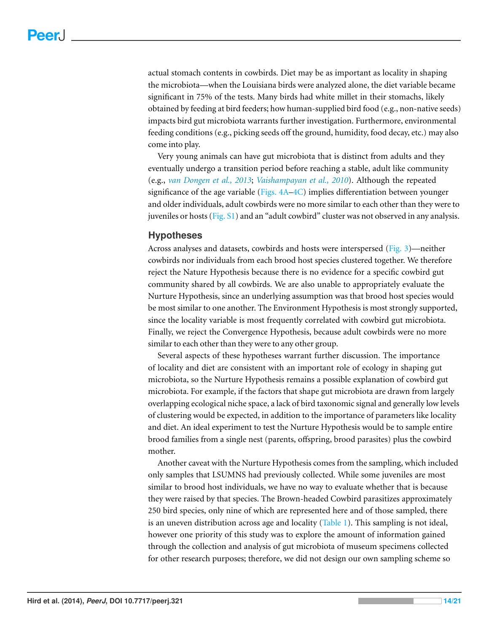actual stomach contents in cowbirds. Diet may be as important as locality in shaping the microbiota—when the Louisiana birds were analyzed alone, the diet variable became significant in 75% of the tests. Many birds had white millet in their stomachs, likely obtained by feeding at bird feeders; how human-supplied bird food (e.g., non-native seeds) impacts bird gut microbiota warrants further investigation. Furthermore, environmental feeding conditions (e.g., picking seeds off the ground, humidity, food decay, etc.) may also come into play.

Very young animals can have gut microbiota that is distinct from adults and they eventually undergo a transition period before reaching a stable, adult like community (e.g., *[van](#page-20-0) [Dongen](#page-20-0) [et](#page-20-0) [al.,](#page-20-0) [2013](#page-20-0)*; *[Vaishampayan](#page-20-5) [et](#page-20-5) [al.,](#page-20-5) [2010](#page-20-5)*). Although the repeated significance of the age variable (Figs.  $4A-4C$ ) implies differentiation between younger and older individuals, adult cowbirds were no more similar to each other than they were to juveniles or hosts [\(Fig.](http://dx.doi.org/10.7717/peerj.321/supp-2) [S1\)](http://dx.doi.org/10.7717/peerj.321/supp-2) and an "adult cowbird" cluster was not observed in any analysis.

#### **Hypotheses**

Across analyses and datasets, cowbirds and hosts were interspersed [\(Fig. 3\)](#page-9-0)—neither cowbirds nor individuals from each brood host species clustered together. We therefore reject the Nature Hypothesis because there is no evidence for a specific cowbird gut community shared by all cowbirds. We are also unable to appropriately evaluate the Nurture Hypothesis, since an underlying assumption was that brood host species would be most similar to one another. The Environment Hypothesis is most strongly supported, since the locality variable is most frequently correlated with cowbird gut microbiota. Finally, we reject the Convergence Hypothesis, because adult cowbirds were no more similar to each other than they were to any other group.

Several aspects of these hypotheses warrant further discussion. The importance of locality and diet are consistent with an important role of ecology in shaping gut microbiota, so the Nurture Hypothesis remains a possible explanation of cowbird gut microbiota. For example, if the factors that shape gut microbiota are drawn from largely overlapping ecological niche space, a lack of bird taxonomic signal and generally low levels of clustering would be expected, in addition to the importance of parameters like locality and diet. An ideal experiment to test the Nurture Hypothesis would be to sample entire brood families from a single nest (parents, offspring, brood parasites) plus the cowbird mother.

Another caveat with the Nurture Hypothesis comes from the sampling, which included only samples that LSUMNS had previously collected. While some juveniles are most similar to brood host individuals, we have no way to evaluate whether that is because they were raised by that species. The Brown-headed Cowbird parasitizes approximately 250 bird species, only nine of which are represented here and of those sampled, there is an uneven distribution across age and locality [\(Table 1\)](#page-4-0). This sampling is not ideal, however one priority of this study was to explore the amount of information gained through the collection and analysis of gut microbiota of museum specimens collected for other research purposes; therefore, we did not design our own sampling scheme so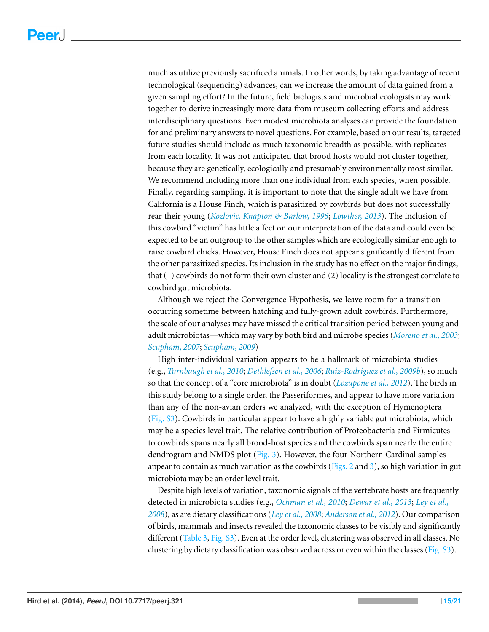much as utilize previously sacrificed animals. In other words, by taking advantage of recent technological (sequencing) advances, can we increase the amount of data gained from a given sampling effort? In the future, field biologists and microbial ecologists may work together to derive increasingly more data from museum collecting efforts and address interdisciplinary questions. Even modest microbiota analyses can provide the foundation for and preliminary answers to novel questions. For example, based on our results, targeted future studies should include as much taxonomic breadth as possible, with replicates from each locality. It was not anticipated that brood hosts would not cluster together, because they are genetically, ecologically and presumably environmentally most similar. We recommend including more than one individual from each species, when possible. Finally, regarding sampling, it is important to note that the single adult we have from California is a House Finch, which is parasitized by cowbirds but does not successfully rear their young (*[Kozlovic,](#page-18-14) [Knapton](#page-18-14) [&](#page-18-14) [Barlow,](#page-18-14) [1996](#page-18-14)*; *[Lowther,](#page-18-5) [2013](#page-18-5)*). The inclusion of this cowbird "victim" has little affect on our interpretation of the data and could even be expected to be an outgroup to the other samples which are ecologically similar enough to raise cowbird chicks. However, House Finch does not appear significantly different from the other parasitized species. Its inclusion in the study has no effect on the major findings, that (1) cowbirds do not form their own cluster and (2) locality is the strongest correlate to cowbird gut microbiota.

Although we reject the Convergence Hypothesis, we leave room for a transition occurring sometime between hatching and fully-grown adult cowbirds. Furthermore, the scale of our analyses may have missed the critical transition period between young and adult microbiotas—which may vary by both bird and microbe species (*[Moreno](#page-18-15) [et](#page-18-15) [al.,](#page-18-15) [2003](#page-18-15)*; *[Scupham,](#page-19-14) [2007](#page-19-14)*; *[Scupham,](#page-19-15) [2009](#page-19-15)*)

High inter-individual variation appears to be a hallmark of microbiota studies (e.g., *[Turnbaugh](#page-20-7) [et](#page-20-7) [al.,](#page-20-7) [2010](#page-20-7)*; *[Dethlefsen](#page-17-14) [et](#page-17-14) [al.,](#page-17-14) [2006](#page-17-14)*; *[Ruiz-Rodriguez](#page-19-2) [et](#page-19-2) [al.,](#page-19-2) [2009b](#page-19-2)*), so much so that the concept of a "core microbiota" is in doubt (*[Lozupone](#page-18-16) [et](#page-18-16) [al.,](#page-18-16) [2012](#page-18-16)*). The birds in this study belong to a single order, the Passeriformes, and appear to have more variation than any of the non-avian orders we analyzed, with the exception of Hymenoptera [\(Fig. S3\)](http://dx.doi.org/10.7717/peerj.321/supp-2). Cowbirds in particular appear to have a highly variable gut microbiota, which may be a species level trait. The relative contribution of Proteobacteria and Firmicutes to cowbirds spans nearly all brood-host species and the cowbirds span nearly the entire dendrogram and NMDS plot  $(Fig, 3)$ . However, the four Northern Cardinal samples appear to contain as much variation as the cowbirds ( $Figs. 2$  and [3\)](#page-9-0), so high variation in gut microbiota may be an order level trait.

Despite high levels of variation, taxonomic signals of the vertebrate hosts are frequently detected in microbiota studies (e.g., *[Ochman](#page-19-13) [et](#page-19-13) [al.,](#page-19-13) [2010](#page-19-13)*; *[Dewar](#page-17-3) [et](#page-17-3) [al.,](#page-17-3) [2013](#page-17-3)*; *[Ley](#page-18-10) [et](#page-18-10) [al.,](#page-18-10) [2008](#page-18-10)*), as are dietary classifications (*[Ley](#page-18-10) [et](#page-18-10) [al.,](#page-18-10) [2008](#page-18-10)*; *[Anderson](#page-16-9) [et](#page-16-9) [al.,](#page-16-9) [2012](#page-16-9)*). Our comparison of birds, mammals and insects revealed the taxonomic classes to be visibly and significantly different [\(Table 3,](#page-12-0) [Fig.](http://dx.doi.org/10.7717/peerj.321/supp-2) [S3\)](http://dx.doi.org/10.7717/peerj.321/supp-2). Even at the order level, clustering was observed in all classes. No clustering by dietary classification was observed across or even within the classes [\(Fig.](http://dx.doi.org/10.7717/peerj.321/supp-2) [S3\)](http://dx.doi.org/10.7717/peerj.321/supp-2).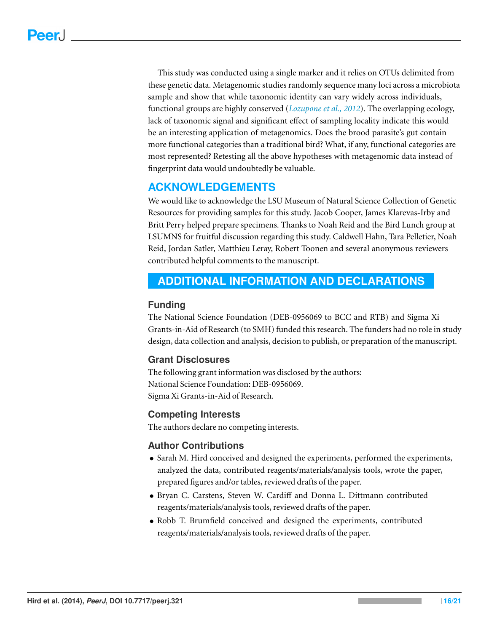This study was conducted using a single marker and it relies on OTUs delimited from these genetic data. Metagenomic studies randomly sequence many loci across a microbiota sample and show that while taxonomic identity can vary widely across individuals, functional groups are highly conserved (*[Lozupone](#page-18-16) [et](#page-18-16) [al.,](#page-18-16) [2012](#page-18-16)*). The overlapping ecology, lack of taxonomic signal and significant effect of sampling locality indicate this would be an interesting application of metagenomics. Does the brood parasite's gut contain more functional categories than a traditional bird? What, if any, functional categories are most represented? Retesting all the above hypotheses with metagenomic data instead of fingerprint data would undoubtedly be valuable.

## **ACKNOWLEDGEMENTS**

We would like to acknowledge the LSU Museum of Natural Science Collection of Genetic Resources for providing samples for this study. Jacob Cooper, James Klarevas-Irby and Britt Perry helped prepare specimens. Thanks to Noah Reid and the Bird Lunch group at LSUMNS for fruitful discussion regarding this study. Caldwell Hahn, Tara Pelletier, Noah Reid, Jordan Satler, Matthieu Leray, Robert Toonen and several anonymous reviewers contributed helpful comments to the manuscript.

## <span id="page-15-0"></span>**ADDITIONAL INFORMATION AND DECLARATIONS**

#### **Funding**

The National Science Foundation (DEB-0956069 to BCC and RTB) and Sigma Xi Grants-in-Aid of Research (to SMH) funded this research. The funders had no role in study design, data collection and analysis, decision to publish, or preparation of the manuscript.

#### **Grant Disclosures**

The following grant information was disclosed by the authors: National Science Foundation: DEB-0956069. Sigma Xi Grants-in-Aid of Research.

#### **Competing Interests**

The authors declare no competing interests.

#### **Author Contributions**

- Sarah M. Hird conceived and designed the experiments, performed the experiments, analyzed the data, contributed reagents/materials/analysis tools, wrote the paper, prepared figures and/or tables, reviewed drafts of the paper.
- Bryan C. Carstens, Steven W. Cardiff and Donna L. Dittmann contributed reagents/materials/analysis tools, reviewed drafts of the paper.
- Robb T. Brumfield conceived and designed the experiments, contributed reagents/materials/analysis tools, reviewed drafts of the paper.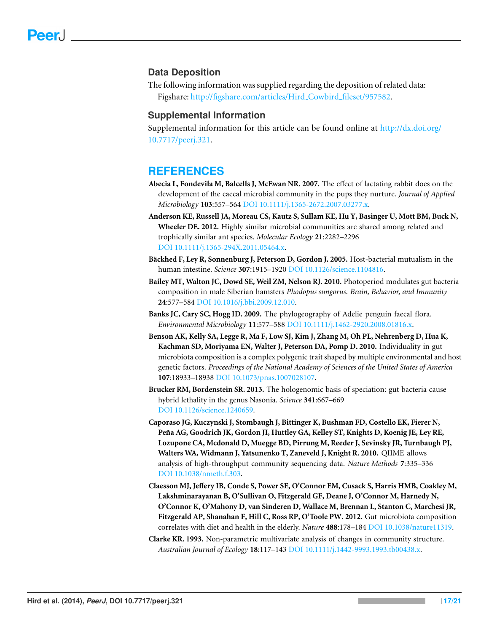#### **Data Deposition**

The following information was supplied regarding the deposition of related data: Figshare: [http://figshare.com/articles/Hird](http://figshare.com/articles/Hird_Cowbird_fileset/957582) [Cowbird](http://figshare.com/articles/Hird_Cowbird_fileset/957582) [fileset/957582.](http://figshare.com/articles/Hird_Cowbird_fileset/957582)

#### **Supplemental Information**

Supplemental information for this article can be found online at [http://dx.doi.org/](http://dx.doi.org/10.7717/peerj.321) [10.7717/peerj.321.](http://dx.doi.org/10.7717/peerj.321)

#### **REFERENCES**

- <span id="page-16-7"></span>**Abecia L, Fondevila M, Balcells J, McEwan NR. 2007.** The effect of lactating rabbit does on the development of the caecal microbial community in the pups they nurture. *Journal of Applied Microbiology* **103**:557–564 DOI [10.1111/j.1365-2672.2007.03277.x.](http://dx.doi.org/10.1111/j.1365-2672.2007.03277.x)
- <span id="page-16-9"></span>**Anderson KE, Russell JA, Moreau CS, Kautz S, Sullam KE, Hu Y, Basinger U, Mott BM, Buck N, Wheeler DE. 2012.** Highly similar microbial communities are shared among related and trophically similar ant species. *Molecular Ecology* **21**:2282–2296 DOI [10.1111/j.1365-294X.2011.05464.x.](http://dx.doi.org/10.1111/j.1365-294X.2011.05464.x)
- <span id="page-16-1"></span>Backhed F, Ley R, Sonnenburg J, Peterson D, Gordon J. 2005. Host-bacterial mutualism in the human intestine. *Science* **307**:1915–1920 DOI [10.1126/science.1104816.](http://dx.doi.org/10.1126/science.1104816)
- <span id="page-16-8"></span>**Bailey MT, Walton JC, Dowd SE, Weil ZM, Nelson RJ. 2010.** Photoperiod modulates gut bacteria composition in male Siberian hamsters *Phodopus sungorus*. *Brain, Behavior, and Immunity* **24**:577–584 DOI [10.1016/j.bbi.2009.12.010.](http://dx.doi.org/10.1016/j.bbi.2009.12.010)
- <span id="page-16-2"></span>**Banks JC, Cary SC, Hogg ID. 2009.** The phylogeography of Adelie penguin faecal flora. *Environmental Microbiology* **11**:577–588 DOI [10.1111/j.1462-2920.2008.01816.x.](http://dx.doi.org/10.1111/j.1462-2920.2008.01816.x)
- <span id="page-16-6"></span>**Benson AK, Kelly SA, Legge R, Ma F, Low SJ, Kim J, Zhang M, Oh PL, Nehrenberg D, Hua K, Kachman SD, Moriyama EN, Walter J, Peterson DA, Pomp D. 2010.** Individuality in gut microbiota composition is a complex polygenic trait shaped by multiple environmental and host genetic factors. *Proceedings of the National Academy of Sciences of the United States of America* **107**:18933–18938 DOI [10.1073/pnas.1007028107.](http://dx.doi.org/10.1073/pnas.1007028107)
- <span id="page-16-0"></span>**Brucker RM, Bordenstein SR. 2013.** The hologenomic basis of speciation: gut bacteria cause hybrid lethality in the genus Nasonia. *Science* **341**:667–669 DOI [10.1126/science.1240659.](http://dx.doi.org/10.1126/science.1240659)
- <span id="page-16-4"></span>**Caporaso JG, Kuczynski J, Stombaugh J, Bittinger K, Bushman FD, Costello EK, Fierer N, Pena AG, Goodrich JK, Gordon JI, Huttley GA, Kelley ST, Knights D, Koenig JE, Ley RE, ˜ Lozupone CA, Mcdonald D, Muegge BD, Pirrung M, Reeder J, Sevinsky JR, Turnbaugh PJ, Walters WA, Widmann J, Yatsunenko T, Zaneveld J, Knight R. 2010.** QIIME allows analysis of high-throughput community sequencing data. *Nature Methods* **7**:335–336 DOI [10.1038/nmeth.f.303.](http://dx.doi.org/10.1038/nmeth.f.303)
- <span id="page-16-3"></span>**Claesson MJ, Jeffery IB, Conde S, Power SE, O'Connor EM, Cusack S, Harris HMB, Coakley M, Lakshminarayanan B, O'Sullivan O, Fitzgerald GF, Deane J, O'Connor M, Harnedy N, O'Connor K, O'Mahony D, van Sinderen D, Wallace M, Brennan L, Stanton C, Marchesi JR, Fitzgerald AP, Shanahan F, Hill C, Ross RP, O'Toole PW. 2012.** Gut microbiota composition correlates with diet and health in the elderly. *Nature* **488**:178–184 DOI [10.1038/nature11319.](http://dx.doi.org/10.1038/nature11319)
- <span id="page-16-5"></span>**Clarke KR. 1993.** Non-parametric multivariate analysis of changes in community structure. *Australian Journal of Ecology* **18**:117–143 DOI [10.1111/j.1442-9993.1993.tb00438.x.](http://dx.doi.org/10.1111/j.1442-9993.1993.tb00438.x)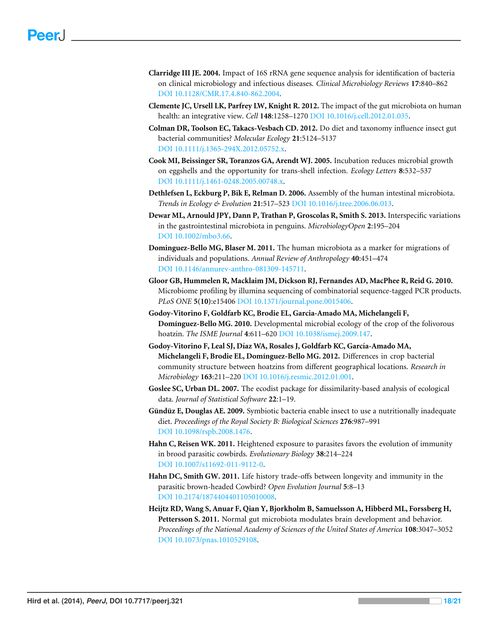- <span id="page-17-8"></span>**Clarridge III JE. 2004.** Impact of 16S rRNA gene sequence analysis for identification of bacteria on clinical microbiology and infectious diseases. *Clinical Microbiology Reviews* **17**:840–862 DOI [10.1128/CMR.17.4.840-862.2004.](http://dx.doi.org/10.1128/CMR.17.4.840-862.2004)
- <span id="page-17-9"></span>**Clemente JC, Ursell LK, Parfrey LW, Knight R. 2012.** The impact of the gut microbiota on human health: an integrative view. *Cell* **148**:1258–1270 DOI [10.1016/j.cell.2012.01.035.](http://dx.doi.org/10.1016/j.cell.2012.01.035)
- <span id="page-17-12"></span>**Colman DR, Toolson EC, Takacs-Vesbach CD. 2012.** Do diet and taxonomy influence insect gut bacterial communities? *Molecular Ecology* **21**:5124–5137 DOI [10.1111/j.1365-294X.2012.05752.x.](http://dx.doi.org/10.1111/j.1365-294X.2012.05752.x)
- <span id="page-17-0"></span>**Cook MI, Beissinger SR, Toranzos GA, Arendt WJ. 2005.** Incubation reduces microbial growth on eggshells and the opportunity for trans-shell infection. *Ecology Letters* **8**:532–537 DOI [10.1111/j.1461-0248.2005.00748.x.](http://dx.doi.org/10.1111/j.1461-0248.2005.00748.x)
- <span id="page-17-14"></span>**Dethlefsen L, Eckburg P, Bik E, Relman D. 2006.** Assembly of the human intestinal microbiota. *Trends in Ecology & Evolution* **21**:517–523 DOI [10.1016/j.tree.2006.06.013.](http://dx.doi.org/10.1016/j.tree.2006.06.013)
- <span id="page-17-3"></span>**Dewar ML, Arnould JPY, Dann P, Trathan P, Groscolas R, Smith S. 2013.** Interspecific variations in the gastrointestinal microbiota in penguins. *MicrobiologyOpen* **2**:195–204 DOI [10.1002/mbo3.66.](http://dx.doi.org/10.1002/mbo3.66)
- <span id="page-17-13"></span>**Dominguez-Bello MG, Blaser M. 2011.** The human microbiota as a marker for migrations of individuals and populations. *Annual Review of Anthropology* **40**:451–474 DOI [10.1146/annurev-anthro-081309-145711.](http://dx.doi.org/10.1146/annurev-anthro-081309-145711)
- <span id="page-17-10"></span>**Gloor GB, Hummelen R, Macklaim JM, Dickson RJ, Fernandes AD, MacPhee R, Reid G. 2010.** Microbiome profiling by illumina sequencing of combinatorial sequence-tagged PCR products. *PLoS ONE* **5(10)**:e15406 DOI [10.1371/journal.pone.0015406.](http://dx.doi.org/10.1371/journal.pone.0015406)
- <span id="page-17-5"></span>**Godoy-Vitorino F, Goldfarb KC, Brodie EL, Garcia-Amado MA, Michelangeli F, Dom´ınguez-Bello MG. 2010.** Developmental microbial ecology of the crop of the folivorous hoatzin. *The ISME Journal* **4**:611–620 DOI [10.1038/ismej.2009.147.](http://dx.doi.org/10.1038/ismej.2009.147)
- <span id="page-17-4"></span>Godoy-Vitorino F, Leal SJ, Díaz WA, Rosales J, Goldfarb KC, García-Amado MA, **Michelangeli F, Brodie EL, Dom´ınguez-Bello MG. 2012.** Differences in crop bacterial community structure between hoatzins from different geographical locations. *Research in Microbiology* **163**:211–220 DOI [10.1016/j.resmic.2012.01.001.](http://dx.doi.org/10.1016/j.resmic.2012.01.001)
- <span id="page-17-11"></span>**Goslee SC, Urban DL. 2007.** The ecodist package for dissimilarity-based analysis of ecological data. *Journal of Statistical Software* **22**:1–19.
- <span id="page-17-2"></span>**Gündüz E, Douglas AE. 2009.** Symbiotic bacteria enable insect to use a nutritionally inadequate diet. *Proceedings of the Royal Society B: Biological Sciences* **276**:987–991 DOI [10.1098/rspb.2008.1476.](http://dx.doi.org/10.1098/rspb.2008.1476)
- <span id="page-17-7"></span>**Hahn C, Reisen WK. 2011.** Heightened exposure to parasites favors the evolution of immunity in brood parasitic cowbirds. *Evolutionary Biology* **38**:214–224 DOI [10.1007/s11692-011-9112-0.](http://dx.doi.org/10.1007/s11692-011-9112-0)
- <span id="page-17-6"></span>**Hahn DC, Smith GW. 2011.** Life history trade-offs between longevity and immunity in the parasitic brown-headed Cowbird? *Open Evolution Journal* **5**:8–13 DOI [10.2174/1874404401105010008.](http://dx.doi.org/10.2174/1874404401105010008)
- <span id="page-17-1"></span>**Heijtz RD, Wang S, Anuar F, Qian Y, Bjorkholm B, Samuelsson A, Hibberd ML, Forssberg H, Pettersson S. 2011.** Normal gut microbiota modulates brain development and behavior. *Proceedings of the National Academy of Sciences of the United States of America* **108**:3047–3052 DOI [10.1073/pnas.1010529108.](http://dx.doi.org/10.1073/pnas.1010529108)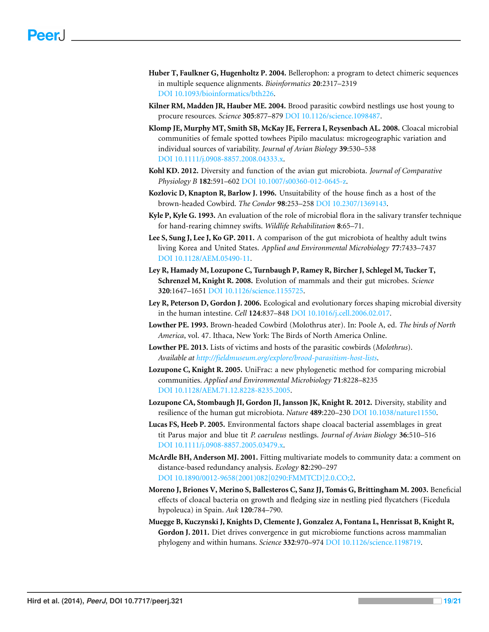- <span id="page-18-7"></span>**Huber T, Faulkner G, Hugenholtz P. 2004.** Bellerophon: a program to detect chimeric sequences in multiple sequence alignments. *Bioinformatics* **20**:2317–2319 DOI [10.1093/bioinformatics/bth226.](http://dx.doi.org/10.1093/bioinformatics/bth226)
- <span id="page-18-6"></span>**Kilner RM, Madden JR, Hauber ME. 2004.** Brood parasitic cowbird nestlings use host young to procure resources. *Science* **305**:877–879 DOI [10.1126/science.1098487.](http://dx.doi.org/10.1126/science.1098487)
- <span id="page-18-2"></span>**Klomp JE, Murphy MT, Smith SB, McKay JE, Ferrera I, Reysenbach AL. 2008.** Cloacal microbial communities of female spotted towhees Pipilo maculatus: microgeographic variation and individual sources of variability. *Journal of Avian Biology* **39**:530–538 DOI [10.1111/j.0908-8857.2008.04333.x.](http://dx.doi.org/10.1111/j.0908-8857.2008.04333.x)
- <span id="page-18-0"></span>**Kohl KD. 2012.** Diversity and function of the avian gut microbiota. *Journal of Comparative Physiology B* **182**:591–602 DOI [10.1007/s00360-012-0645-z.](http://dx.doi.org/10.1007/s00360-012-0645-z)
- <span id="page-18-14"></span>**Kozlovic D, Knapton R, Barlow J. 1996.** Unsuitability of the house finch as a host of the brown-headed Cowbird. *The Condor* **98**:253–258 DOI [10.2307/1369143.](http://dx.doi.org/10.2307/1369143)
- <span id="page-18-12"></span>**Kyle P, Kyle G. 1993.** An evaluation of the role of microbial flora in the salivary transfer technique for hand-rearing chimney swifts. *Wildlife Rehabilitation* **8**:65–71.
- <span id="page-18-13"></span>**Lee S, Sung J, Lee J, Ko GP. 2011.** A comparison of the gut microbiota of healthy adult twins living Korea and United States. *Applied and Environmental Microbiology* **77**:7433–7437 DOI [10.1128/AEM.05490-11.](http://dx.doi.org/10.1128/AEM.05490-11)
- <span id="page-18-10"></span>**Ley R, Hamady M, Lozupone C, Turnbaugh P, Ramey R, Bircher J, Schlegel M, Tucker T, Schrenzel M, Knight R. 2008.** Evolution of mammals and their gut microbes. *Science* **320**:1647–1651 DOI [10.1126/science.1155725.](http://dx.doi.org/10.1126/science.1155725)
- <span id="page-18-1"></span>**Ley R, Peterson D, Gordon J. 2006.** Ecological and evolutionary forces shaping microbial diversity in the human intestine. *Cell* **124**:837–848 DOI [10.1016/j.cell.2006.02.017.](http://dx.doi.org/10.1016/j.cell.2006.02.017)
- <span id="page-18-4"></span>**Lowther PE. 1993.** Brown-headed Cowbird (Molothrus ater). In: Poole A, ed. *The birds of North America*, vol. 47. Ithaca, New York: The Birds of North America Online.
- <span id="page-18-5"></span>**Lowther PE. 2013.** Lists of victims and hosts of the parasitic cowbirds (*Molothrus*). *Available at <http://fieldmuseum.org/explore/brood-parasitism-host-lists>*.
- <span id="page-18-8"></span>**Lozupone C, Knight R. 2005.** UniFrac: a new phylogenetic method for comparing microbial communities. *Applied and Environmental Microbiology* **71**:8228–8235 DOI [10.1128/AEM.71.12.8228-8235.2005.](http://dx.doi.org/10.1128/AEM.71.12.8228-8235.2005)
- <span id="page-18-16"></span>**Lozupone CA, Stombaugh JI, Gordon JI, Jansson JK, Knight R. 2012.** Diversity, stability and resilience of the human gut microbiota. *Nature* **489**:220–230 DOI [10.1038/nature11550.](http://dx.doi.org/10.1038/nature11550)
- <span id="page-18-3"></span>**Lucas FS, Heeb P. 2005.** Environmental factors shape cloacal bacterial assemblages in great tit Parus major and blue tit *P. caeruleus* nestlings. *Journal of Avian Biology* **36**:510–516 DOI [10.1111/j.0908-8857.2005.03479.x.](http://dx.doi.org/10.1111/j.0908-8857.2005.03479.x)
- <span id="page-18-9"></span>**McArdle BH, Anderson MJ. 2001.** Fitting multivariate models to community data: a comment on distance-based redundancy analysis. *Ecology* **82**:290–297 DOI [10.1890/0012-9658\(2001\)082\[0290:FMMTCD\]2.0.CO;2.](http://dx.doi.org/10.1890/0012-9658(2001)082[0290:FMMTCD]2.0.CO;2)
- <span id="page-18-15"></span>**Moreno J, Briones V, Merino S, Ballesteros C, Sanz JJ, Tomás G, Brittingham M. 2003.** Beneficial effects of cloacal bacteria on growth and fledging size in nestling pied flycatchers (Ficedula hypoleuca) in Spain. *Auk* **120**:784–790.
- <span id="page-18-11"></span>**Muegge B, Kuczynski J, Knights D, Clemente J, Gonzalez A, Fontana L, Henrissat B, Knight R, Gordon J. 2011.** Diet drives convergence in gut microbiome functions across mammalian phylogeny and within humans. *Science* **332**:970–974 DOI [10.1126/science.1198719.](http://dx.doi.org/10.1126/science.1198719)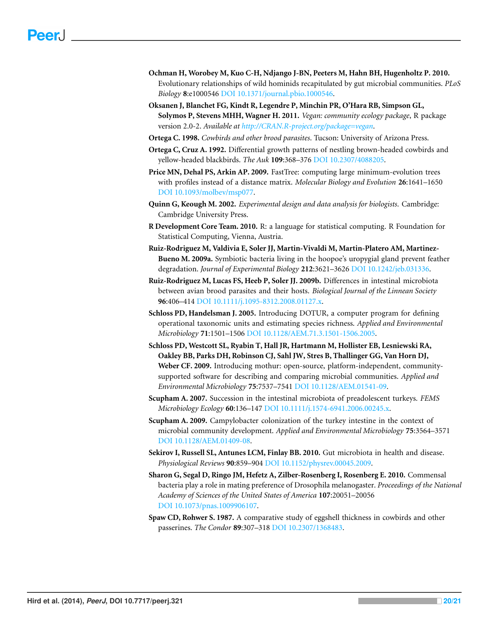- <span id="page-19-13"></span>**Ochman H, Worobey M, Kuo C-H, Ndjango J-BN, Peeters M, Hahn BH, Hugenholtz P. 2010.** Evolutionary relationships of wild hominids recapitulated by gut microbial communities. *PLoS Biology* **8**:e1000546 DOI [10.1371/journal.pbio.1000546.](http://dx.doi.org/10.1371/journal.pbio.1000546)
- <span id="page-19-10"></span>**Oksanen J, Blanchet FG, Kindt R, Legendre P, Minchin PR, O'Hara RB, Simpson GL, Solymos P, Stevens MHH, Wagner H. 2011.** *Vegan: community ecology package*, R package version 2.0-2. *Available at <http://CRAN.R-project.org/package=vegan>*.
- <span id="page-19-6"></span>**Ortega C. 1998.** *Cowbirds and other brood parasites*. Tucson: University of Arizona Press.
- <span id="page-19-3"></span>**Ortega C, Cruz A. 1992.** Differential growth patterns of nestling brown-headed cowbirds and yellow-headed blackbirds. *The Auk* **109**:368–376 DOI [10.2307/4088205.](http://dx.doi.org/10.2307/4088205)
- <span id="page-19-9"></span>Price MN, Dehal PS, Arkin AP. 2009. FastTree: computing large minimum-evolution trees with profiles instead of a distance matrix. *Molecular Biology and Evolution* **26**:1641–1650 DOI [10.1093/molbev/msp077.](http://dx.doi.org/10.1093/molbev/msp077)
- <span id="page-19-12"></span>**Quinn G, Keough M. 2002.** *Experimental design and data analysis for biologists*. Cambridge: Cambridge University Press.
- <span id="page-19-11"></span>**R Development Core Team. 2010.** R: a language for statistical computing. R Foundation for Statistical Computing, Vienna, Austria.
- <span id="page-19-0"></span>**Ruiz-Rodriguez M, Valdivia E, Soler JJ, Martin-Vivaldi M, Martin-Platero AM, Martinez-Bueno M. 2009a.** Symbiotic bacteria living in the hoopoe's uropygial gland prevent feather degradation. *Journal of Experimental Biology* **212**:3621–3626 DOI [10.1242/jeb.031336.](http://dx.doi.org/10.1242/jeb.031336)
- <span id="page-19-2"></span>**Ruiz-Rodriguez M, Lucas FS, Heeb P, Soler JJ. 2009b.** Differences in intestinal microbiota between avian brood parasites and their hosts. *Biological Journal of the Linnean Society* **96**:406–414 DOI [10.1111/j.1095-8312.2008.01127.x.](http://dx.doi.org/10.1111/j.1095-8312.2008.01127.x)
- <span id="page-19-8"></span>**Schloss PD, Handelsman J. 2005.** Introducing DOTUR, a computer program for defining operational taxonomic units and estimating species richness. *Applied and Environmental Microbiology* **71**:1501–1506 DOI [10.1128/AEM.71.3.1501-1506.2005.](http://dx.doi.org/10.1128/AEM.71.3.1501-1506.2005)
- <span id="page-19-7"></span>**Schloss PD, Westcott SL, Ryabin T, Hall JR, Hartmann M, Hollister EB, Lesniewski RA, Oakley BB, Parks DH, Robinson CJ, Sahl JW, Stres B, Thallinger GG, Van Horn DJ, Weber CF. 2009.** Introducing mothur: open-source, platform-independent, communitysupported software for describing and comparing microbial communities. *Applied and Environmental Microbiology* **75**:7537–7541 DOI [10.1128/AEM.01541-09.](http://dx.doi.org/10.1128/AEM.01541-09)
- <span id="page-19-14"></span>**Scupham A. 2007.** Succession in the intestinal microbiota of preadolescent turkeys. *FEMS Microbiology Ecology* **60**:136–147 DOI [10.1111/j.1574-6941.2006.00245.x.](http://dx.doi.org/10.1111/j.1574-6941.2006.00245.x)
- <span id="page-19-15"></span>**Scupham A. 2009.** Campylobacter colonization of the turkey intestine in the context of microbial community development. *Applied and Environmental Microbiology* **75**:3564–3571 DOI [10.1128/AEM.01409-08.](http://dx.doi.org/10.1128/AEM.01409-08)
- <span id="page-19-5"></span>**Sekirov I, Russell SL, Antunes LCM, Finlay BB. 2010.** Gut microbiota in health and disease. *Physiological Reviews* **90**:859–904 DOI [10.1152/physrev.00045.2009.](http://dx.doi.org/10.1152/physrev.00045.2009)
- <span id="page-19-1"></span>**Sharon G, Segal D, Ringo JM, Hefetz A, Zilber-Rosenberg I, Rosenberg E. 2010.** Commensal bacteria play a role in mating preference of Drosophila melanogaster. *Proceedings of the National Academy of Sciences of the United States of America* **107**:20051–20056 DOI [10.1073/pnas.1009906107.](http://dx.doi.org/10.1073/pnas.1009906107)
- <span id="page-19-4"></span>**Spaw CD, Rohwer S. 1987.** A comparative study of eggshell thickness in cowbirds and other passerines. *The Condor* **89**:307–318 DOI [10.2307/1368483.](http://dx.doi.org/10.2307/1368483)